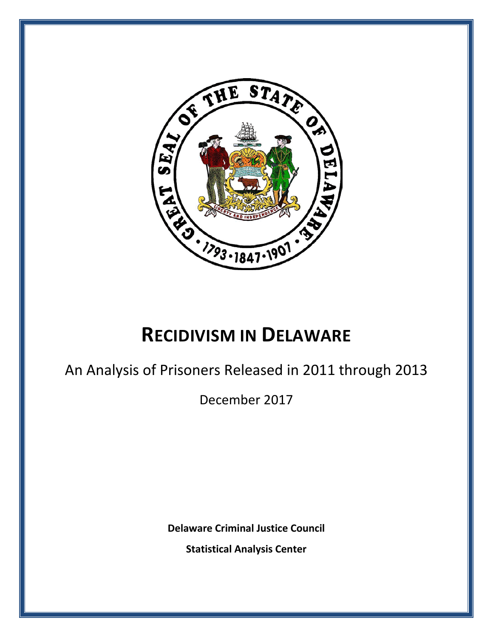

# **RECIDIVISM IN DELAWARE**

An Analysis of Prisoners Released in 2011 through 2013

December 2017

**Delaware Criminal Justice Council**

**Statistical Analysis Center**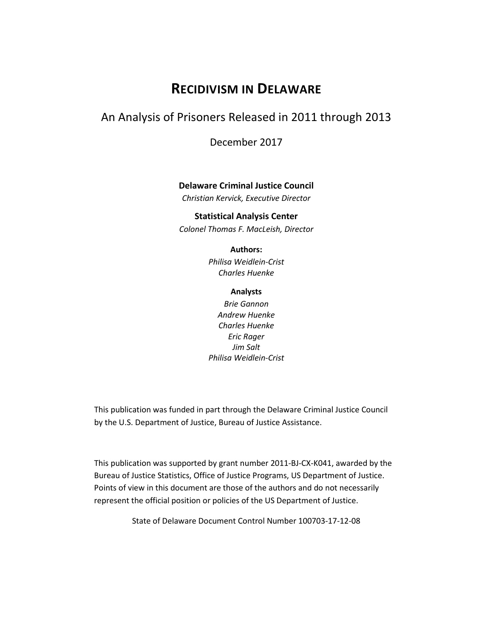## **RECIDIVISM IN DELAWARE**

## An Analysis of Prisoners Released in 2011 through 2013

December 2017

#### **Delaware Criminal Justice Council**

*Christian Kervick, Executive Director*

#### **Statistical Analysis Center**

*Colonel Thomas F. MacLeish, Director*

#### **Authors:**

*Philisa Weidlein-Crist Charles Huenke*

#### **Analysts**

*Brie Gannon Andrew Huenke Charles Huenke Eric Rager Jim Salt Philisa Weidlein-Crist*

This publication was funded in part through the Delaware Criminal Justice Council by the U.S. Department of Justice, Bureau of Justice Assistance.

This publication was supported by grant number 2011-BJ-CX-K041, awarded by the Bureau of Justice Statistics, Office of Justice Programs, US Department of Justice. Points of view in this document are those of the authors and do not necessarily represent the official position or policies of the US Department of Justice.

State of Delaware Document Control Number 100703-17-12-08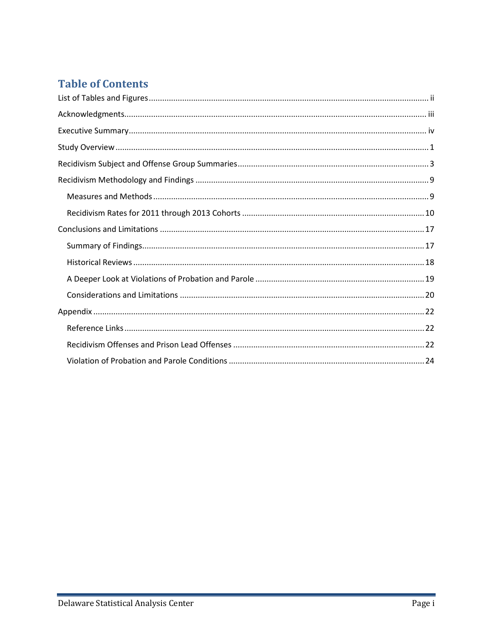## **Table of Contents**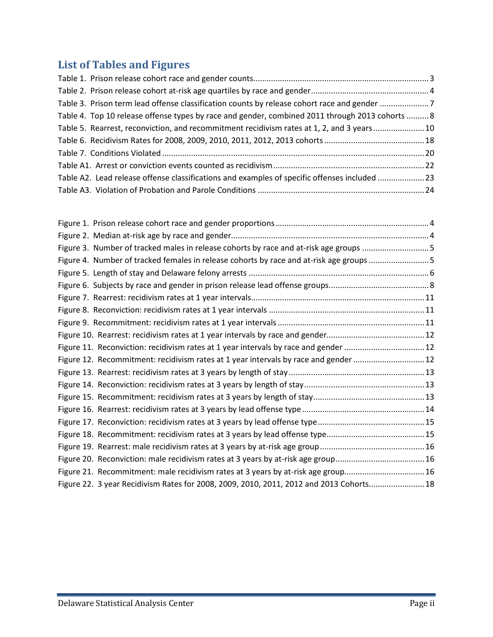## <span id="page-3-0"></span>**List of Tables and Figures**

| Table 4. Top 10 release offense types by race and gender, combined 2011 through 2013 cohorts  8 |  |
|-------------------------------------------------------------------------------------------------|--|
| Table 5. Rearrest, reconviction, and recommitment recidivism rates at 1, 2, and 3 years10       |  |
|                                                                                                 |  |
|                                                                                                 |  |
|                                                                                                 |  |
| Table A2. Lead release offense classifications and examples of specific offenses included 23    |  |
|                                                                                                 |  |
|                                                                                                 |  |

| Figure 3. Number of tracked males in release cohorts by race and at-risk age groups 5   |  |
|-----------------------------------------------------------------------------------------|--|
| Figure 4. Number of tracked females in release cohorts by race and at-risk age groups 5 |  |
|                                                                                         |  |
|                                                                                         |  |
|                                                                                         |  |
|                                                                                         |  |
|                                                                                         |  |
|                                                                                         |  |
| Figure 11. Reconviction: recidivism rates at 1 year intervals by race and gender  12    |  |
| Figure 12. Recommitment: recidivism rates at 1 year intervals by race and gender 12     |  |
|                                                                                         |  |
|                                                                                         |  |
|                                                                                         |  |
|                                                                                         |  |
|                                                                                         |  |
|                                                                                         |  |
|                                                                                         |  |
|                                                                                         |  |
| Figure 21. Recommitment: male recidivism rates at 3 years by at-risk age group16        |  |
| Figure 22. 3 year Recidivism Rates for 2008, 2009, 2010, 2011, 2012 and 2013 Cohorts 18 |  |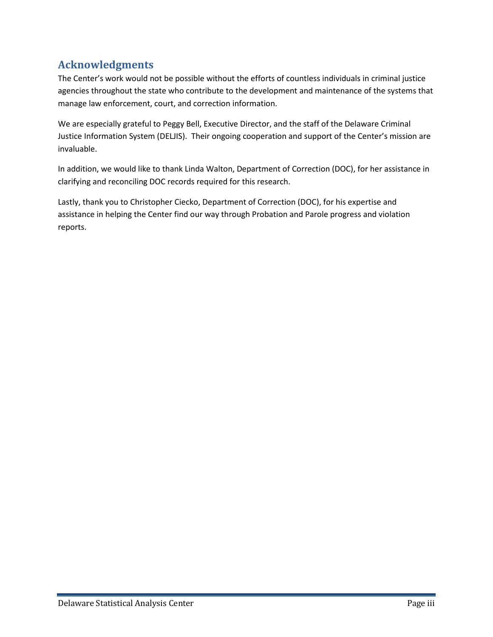## <span id="page-4-0"></span>**Acknowledgments**

The Center's work would not be possible without the efforts of countless individuals in criminal justice agencies throughout the state who contribute to the development and maintenance of the systems that manage law enforcement, court, and correction information.

We are especially grateful to Peggy Bell, Executive Director, and the staff of the Delaware Criminal Justice Information System (DELJIS). Their ongoing cooperation and support of the Center's mission are invaluable.

In addition, we would like to thank Linda Walton, Department of Correction (DOC), for her assistance in clarifying and reconciling DOC records required for this research.

Lastly, thank you to Christopher Ciecko, Department of Correction (DOC), for his expertise and assistance in helping the Center find our way through Probation and Parole progress and violation reports.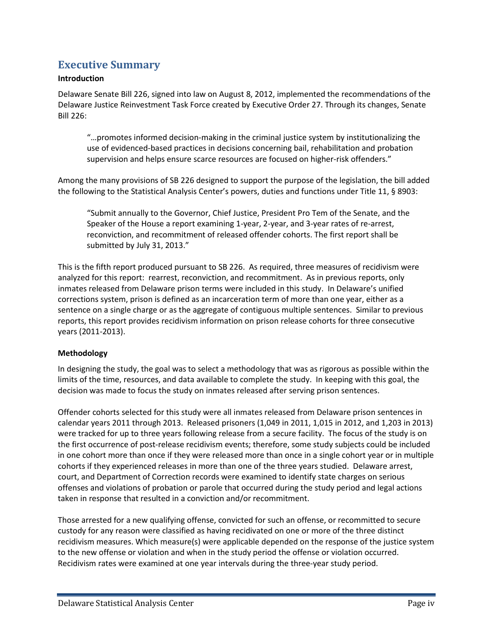## <span id="page-5-0"></span>**Executive Summary**

#### **Introduction**

Delaware Senate Bill 226, signed into law on August 8, 2012, implemented the recommendations of the Delaware Justice Reinvestment Task Force created by Executive Order 27. Through its changes, Senate Bill 226:

"…promotes informed decision-making in the criminal justice system by institutionalizing the use of evidenced-based practices in decisions concerning bail, rehabilitation and probation supervision and helps ensure scarce resources are focused on higher-risk offenders."

Among the many provisions of SB 226 designed to support the purpose of the legislation, the bill added the following to the Statistical Analysis Center's powers, duties and functions under Title 11, § 8903:

"Submit annually to the Governor, Chief Justice, President Pro Tem of the Senate, and the Speaker of the House a report examining 1-year, 2-year, and 3-year rates of re-arrest, reconviction, and recommitment of released offender cohorts. The first report shall be submitted by July 31, 2013."

This is the fifth report produced pursuant to SB 226. As required, three measures of recidivism were analyzed for this report: rearrest, reconviction, and recommitment. As in previous reports, only inmates released from Delaware prison terms were included in this study. In Delaware's unified corrections system, prison is defined as an incarceration term of more than one year, either as a sentence on a single charge or as the aggregate of contiguous multiple sentences. Similar to previous reports, this report provides recidivism information on prison release cohorts for three consecutive years (2011-2013).

#### **Methodology**

In designing the study, the goal was to select a methodology that was as rigorous as possible within the limits of the time, resources, and data available to complete the study. In keeping with this goal, the decision was made to focus the study on inmates released after serving prison sentences.

Offender cohorts selected for this study were all inmates released from Delaware prison sentences in calendar years 2011 through 2013. Released prisoners (1,049 in 2011, 1,015 in 2012, and 1,203 in 2013) were tracked for up to three years following release from a secure facility. The focus of the study is on the first occurrence of post-release recidivism events; therefore, some study subjects could be included in one cohort more than once if they were released more than once in a single cohort year or in multiple cohorts if they experienced releases in more than one of the three years studied. Delaware arrest, court, and Department of Correction records were examined to identify state charges on serious offenses and violations of probation or parole that occurred during the study period and legal actions taken in response that resulted in a conviction and/or recommitment.

Those arrested for a new qualifying offense, convicted for such an offense, or recommitted to secure custody for any reason were classified as having recidivated on one or more of the three distinct recidivism measures. Which measure(s) were applicable depended on the response of the justice system to the new offense or violation and when in the study period the offense or violation occurred. Recidivism rates were examined at one year intervals during the three-year study period.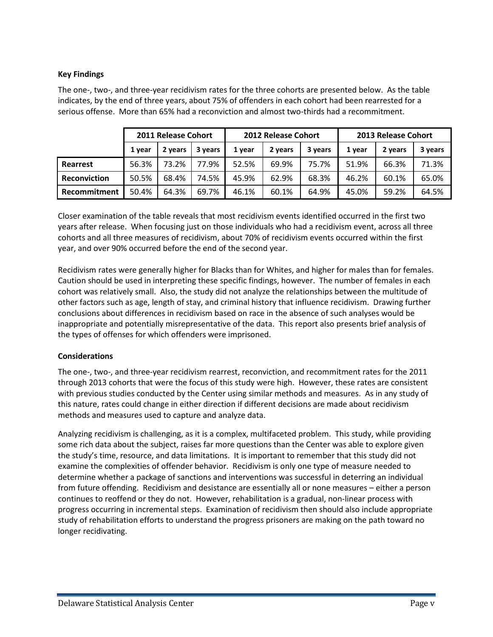#### **Key Findings**

The one-, two-, and three-year recidivism rates for the three cohorts are presented below. As the table indicates, by the end of three years, about 75% of offenders in each cohort had been rearrested for a serious offense. More than 65% had a reconviction and almost two-thirds had a recommitment.

|                     |        | 2011 Release Cohort |         |        | 2012 Release Cohort |         | 2013 Release Cohort |         |         |  |
|---------------------|--------|---------------------|---------|--------|---------------------|---------|---------------------|---------|---------|--|
|                     | 1 year | 2 years             | 3 years | 1 vear | 2 years             | 3 years | 1 year              | 2 years | 3 years |  |
| Rearrest            | 56.3%  | 73.2%               | 77.9%   | 52.5%  | 69.9%               | 75.7%   | 51.9%               | 66.3%   | 71.3%   |  |
| <b>Reconviction</b> | 50.5%  | 68.4%               | 74.5%   | 45.9%  | 62.9%               | 68.3%   | 46.2%               | 60.1%   | 65.0%   |  |
| Recommitment        | 50.4%  | 64.3%               | 69.7%   | 46.1%  | 60.1%               | 64.9%   | 45.0%               | 59.2%   | 64.5%   |  |

Closer examination of the table reveals that most recidivism events identified occurred in the first two years after release. When focusing just on those individuals who had a recidivism event, across all three cohorts and all three measures of recidivism, about 70% of recidivism events occurred within the first year, and over 90% occurred before the end of the second year.

Recidivism rates were generally higher for Blacks than for Whites, and higher for males than for females. Caution should be used in interpreting these specific findings, however. The number of females in each cohort was relatively small. Also, the study did not analyze the relationships between the multitude of other factors such as age, length of stay, and criminal history that influence recidivism. Drawing further conclusions about differences in recidivism based on race in the absence of such analyses would be inappropriate and potentially misrepresentative of the data. This report also presents brief analysis of the types of offenses for which offenders were imprisoned.

#### **Considerations**

The one-, two-, and three-year recidivism rearrest, reconviction, and recommitment rates for the 2011 through 2013 cohorts that were the focus of this study were high. However, these rates are consistent with previous studies conducted by the Center using similar methods and measures. As in any study of this nature, rates could change in either direction if different decisions are made about recidivism methods and measures used to capture and analyze data.

Analyzing recidivism is challenging, as it is a complex, multifaceted problem. This study, while providing some rich data about the subject, raises far more questions than the Center was able to explore given the study's time, resource, and data limitations. It is important to remember that this study did not examine the complexities of offender behavior. Recidivism is only one type of measure needed to determine whether a package of sanctions and interventions was successful in deterring an individual from future offending. Recidivism and desistance are essentially all or none measures – either a person continues to reoffend or they do not. However, rehabilitation is a gradual, non-linear process with progress occurring in incremental steps. Examination of recidivism then should also include appropriate study of rehabilitation efforts to understand the progress prisoners are making on the path toward no longer recidivating.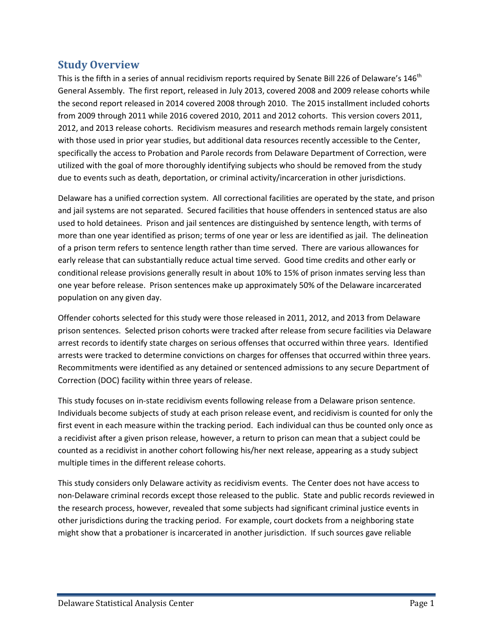## <span id="page-7-0"></span>**Study Overview**

This is the fifth in a series of annual recidivism reports required by Senate Bill 226 of Delaware's 146<sup>th</sup> General Assembly. The first report, released in July 2013, covered 2008 and 2009 release cohorts while the second report released in 2014 covered 2008 through 2010. The 2015 installment included cohorts from 2009 through 2011 while 2016 covered 2010, 2011 and 2012 cohorts. This version covers 2011, 2012, and 2013 release cohorts. Recidivism measures and research methods remain largely consistent with those used in prior year studies, but additional data resources recently accessible to the Center, specifically the access to Probation and Parole records from Delaware Department of Correction, were utilized with the goal of more thoroughly identifying subjects who should be removed from the study due to events such as death, deportation, or criminal activity/incarceration in other jurisdictions.

Delaware has a unified correction system. All correctional facilities are operated by the state, and prison and jail systems are not separated. Secured facilities that house offenders in sentenced status are also used to hold detainees. Prison and jail sentences are distinguished by sentence length, with terms of more than one year identified as prison; terms of one year or less are identified as jail. The delineation of a prison term refers to sentence length rather than time served. There are various allowances for early release that can substantially reduce actual time served. Good time credits and other early or conditional release provisions generally result in about 10% to 15% of prison inmates serving less than one year before release. Prison sentences make up approximately 50% of the Delaware incarcerated population on any given day.

Offender cohorts selected for this study were those released in 2011, 2012, and 2013 from Delaware prison sentences. Selected prison cohorts were tracked after release from secure facilities via Delaware arrest records to identify state charges on serious offenses that occurred within three years. Identified arrests were tracked to determine convictions on charges for offenses that occurred within three years. Recommitments were identified as any detained or sentenced admissions to any secure Department of Correction (DOC) facility within three years of release.

This study focuses on in-state recidivism events following release from a Delaware prison sentence. Individuals become subjects of study at each prison release event, and recidivism is counted for only the first event in each measure within the tracking period. Each individual can thus be counted only once as a recidivist after a given prison release, however, a return to prison can mean that a subject could be counted as a recidivist in another cohort following his/her next release, appearing as a study subject multiple times in the different release cohorts.

This study considers only Delaware activity as recidivism events. The Center does not have access to non-Delaware criminal records except those released to the public. State and public records reviewed in the research process, however, revealed that some subjects had significant criminal justice events in other jurisdictions during the tracking period. For example, court dockets from a neighboring state might show that a probationer is incarcerated in another jurisdiction. If such sources gave reliable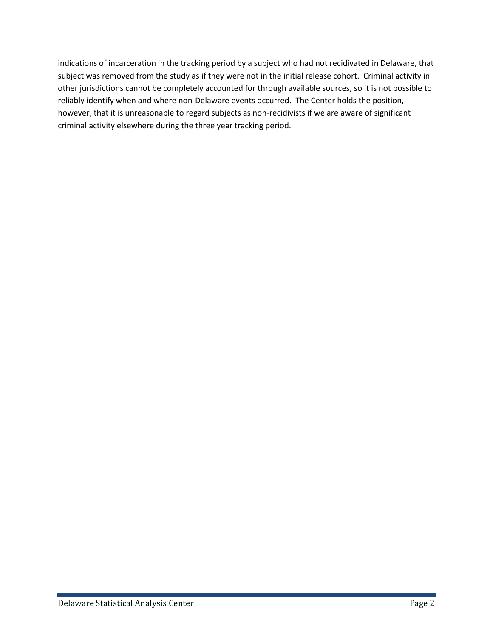indications of incarceration in the tracking period by a subject who had not recidivated in Delaware, that subject was removed from the study as if they were not in the initial release cohort. Criminal activity in other jurisdictions cannot be completely accounted for through available sources, so it is not possible to reliably identify when and where non-Delaware events occurred. The Center holds the position, however, that it is unreasonable to regard subjects as non-recidivists if we are aware of significant criminal activity elsewhere during the three year tracking period.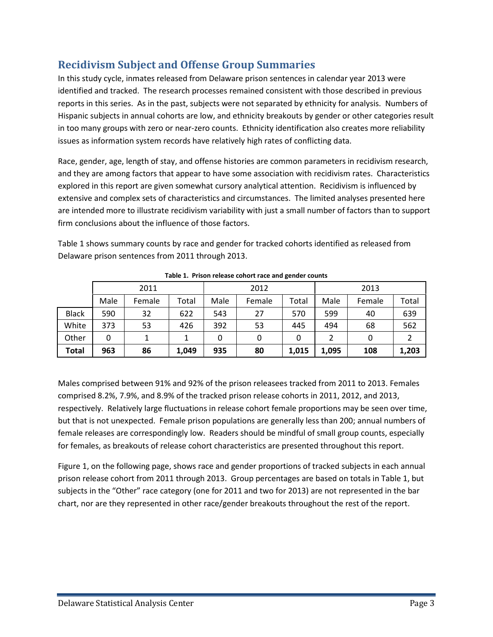## <span id="page-9-0"></span>**Recidivism Subject and Offense Group Summaries**

In this study cycle, inmates released from Delaware prison sentences in calendar year 2013 were identified and tracked. The research processes remained consistent with those described in previous reports in this series. As in the past, subjects were not separated by ethnicity for analysis. Numbers of Hispanic subjects in annual cohorts are low, and ethnicity breakouts by gender or other categories result in too many groups with zero or near-zero counts. Ethnicity identification also creates more reliability issues as information system records have relatively high rates of conflicting data.

Race, gender, age, length of stay, and offense histories are common parameters in recidivism research, and they are among factors that appear to have some association with recidivism rates. Characteristics explored in this report are given somewhat cursory analytical attention. Recidivism is influenced by extensive and complex sets of characteristics and circumstances. The limited analyses presented here are intended more to illustrate recidivism variability with just a small number of factors than to support firm conclusions about the influence of those factors.

Table 1 shows summary counts by race and gender for tracked cohorts identified as released from Delaware prison sentences from 2011 through 2013.

<span id="page-9-1"></span>

|              |      | 2011   |       |      | 2012   |       | 2013  |        |       |  |
|--------------|------|--------|-------|------|--------|-------|-------|--------|-------|--|
|              | Male | Female | Total | Male | Female | Total | Male  | Female | Total |  |
| <b>Black</b> | 590  | 32     | 622   | 543  | 27     | 570   | 599   | 40     | 639   |  |
| White        | 373  | 53     | 426   | 392  | 53     | 445   | 494   | 68     | 562   |  |
| Other        | 0    |        | 1     |      | 0      |       |       | 0      |       |  |
| Total        | 963  | 86     | 1,049 | 935  | 80     | 1,015 | 1,095 | 108    | 1,203 |  |

**Table 1. Prison release cohort race and gender counts**

Males comprised between 91% and 92% of the prison releasees tracked from 2011 to 2013. Females comprised 8.2%, 7.9%, and 8.9% of the tracked prison release cohorts in 2011, 2012, and 2013, respectively. Relatively large fluctuations in release cohort female proportions may be seen over time, but that is not unexpected. Female prison populations are generally less than 200; annual numbers of female releases are correspondingly low. Readers should be mindful of small group counts, especially for females, as breakouts of release cohort characteristics are presented throughout this report.

Figure 1, on the following page, shows race and gender proportions of tracked subjects in each annual prison release cohort from 2011 through 2013. Group percentages are based on totals in Table 1, but subjects in the "Other" race category (one for 2011 and two for 2013) are not represented in the bar chart, nor are they represented in other race/gender breakouts throughout the rest of the report.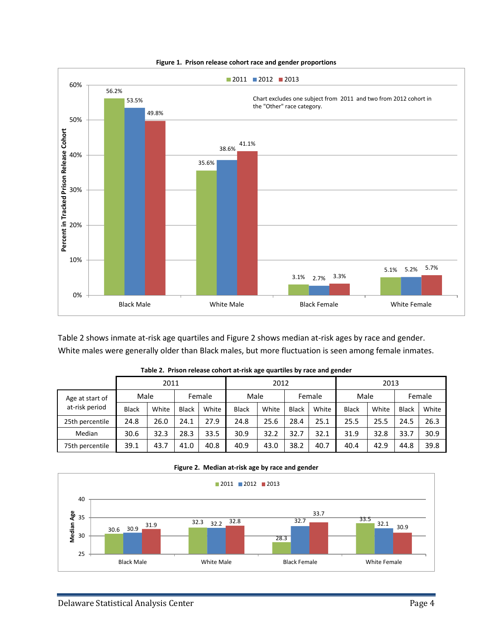<span id="page-10-1"></span>

**Figure 1. Prison release cohort race and gender proportions**

Table 2 shows inmate at-risk age quartiles and Figure 2 shows median at-risk ages by race and gender. White males were generally older than Black males, but more fluctuation is seen among female inmates.

<span id="page-10-0"></span>

|                 |              |       |              |       |              |       |              | -     |              |       |        |       |
|-----------------|--------------|-------|--------------|-------|--------------|-------|--------------|-------|--------------|-------|--------|-------|
|                 |              | 2011  |              |       | 2012         |       |              | 2013  |              |       |        |       |
| Age at start of | Male         |       | Female       |       | Male         |       | Female       |       | Male         |       | Female |       |
| at-risk period  | <b>Black</b> | White | <b>Black</b> | White | <b>Black</b> | White | <b>Black</b> | White | <b>Black</b> | White | Black  | White |
| 25th percentile | 24.8         | 26.0  | 24.1         | 27.9  | 24.8         | 25.6  | 28.4         | 25.1  | 25.5         | 25.5  | 24.5   | 26.3  |
| Median          | 30.6         | 32.3  | 28.3         | 33.5  | 30.9         | 32.2  | 32.7         | 32.1  | 31.9         | 32.8  | 33.7   | 30.9  |
| 75th percentile | 39.1         | 43.7  | 41.0         | 40.8  | 40.9         | 43.0  | 38.2         | 40.7  | 40.4         | 42.9  | 44.8   | 39.8  |

|  | Table 2. Prison release cohort at-risk age quartiles by race and gender |  |  |
|--|-------------------------------------------------------------------------|--|--|
|  |                                                                         |  |  |



<span id="page-10-2"></span>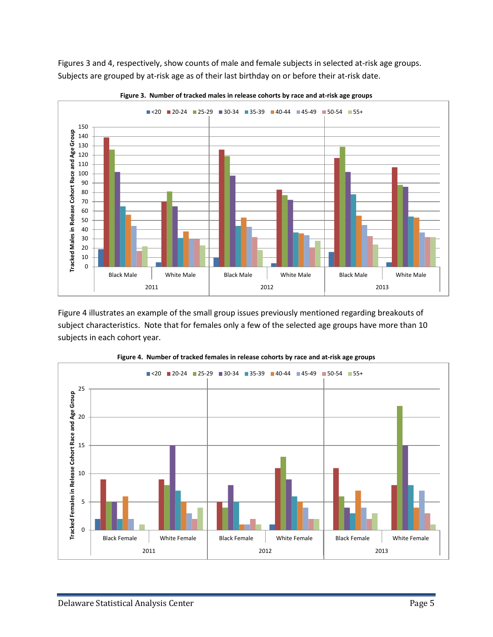Figures 3 and 4, respectively, show counts of male and female subjects in selected at-risk age groups. Subjects are grouped by at-risk age as of their last birthday on or before their at-risk date.

<span id="page-11-0"></span>



Figure 4 illustrates an example of the small group issues previously mentioned regarding breakouts of subject characteristics. Note that for females only a few of the selected age groups have more than 10 subjects in each cohort year.

<span id="page-11-1"></span>

**Figure 4. Number of tracked females in release cohorts by race and at-risk age groups**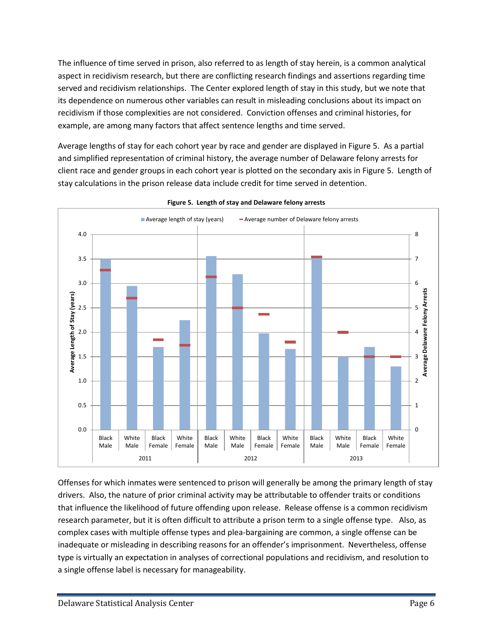The influence of time served in prison, also referred to as length of stay herein, is a common analytical aspect in recidivism research, but there are conflicting research findings and assertions regarding time served and recidivism relationships. The Center explored length of stay in this study, but we note that its dependence on numerous other variables can result in misleading conclusions about its impact on recidivism if those complexities are not considered. Conviction offenses and criminal histories, for example, are among many factors that affect sentence lengths and time served.

Average lengths of stay for each cohort year by race and gender are displayed in Figure 5. As a partial and simplified representation of criminal history, the average number of Delaware felony arrests for client race and gender groups in each cohort year is plotted on the secondary axis in Figure 5. Length of stay calculations in the prison release data include credit for time served in detention.

<span id="page-12-0"></span>

**Figure 5. Length of stay and Delaware felony arrests**

Offenses for which inmates were sentenced to prison will generally be among the primary length of stay drivers. Also, the nature of prior criminal activity may be attributable to offender traits or conditions that influence the likelihood of future offending upon release. Release offense is a common recidivism research parameter, but it is often difficult to attribute a prison term to a single offense type. Also, as complex cases with multiple offense types and plea-bargaining are common, a single offense can be inadequate or misleading in describing reasons for an offender's imprisonment. Nevertheless, offense type is virtually an expectation in analyses of correctional populations and recidivism, and resolution to a single offense label is necessary for manageability.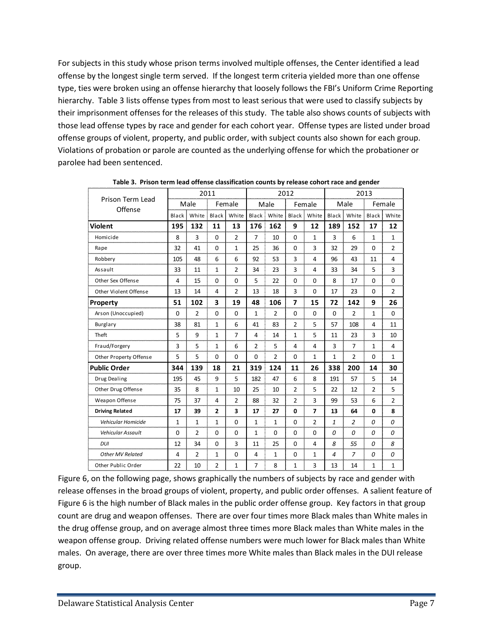For subjects in this study whose prison terms involved multiple offenses, the Center identified a lead offense by the longest single term served. If the longest term criteria yielded more than one offense type, ties were broken using an offense hierarchy that loosely follows the FBI's Uniform Crime Reporting hierarchy. Table 3 lists offense types from most to least serious that were used to classify subjects by their imprisonment offenses for the releases of this study. The table also shows counts of subjects with those lead offense types by race and gender for each cohort year. Offense types are listed under broad offense groups of violent, property, and public order, with subject counts also shown for each group. Violations of probation or parole are counted as the underlying offense for which the probationer or parolee had been sentenced.

<span id="page-13-0"></span>

|                          |                |                | 2011           |                |                |                | 2012           |              | 2013           |                |                |                |
|--------------------------|----------------|----------------|----------------|----------------|----------------|----------------|----------------|--------------|----------------|----------------|----------------|----------------|
| Prison Term Lead         |                | Male           |                | Female         |                | Male           |                | Female       |                | Male           |                | Female         |
| Offense                  | Black          | White          | Black          | White          | Black          | White          | Black          | White        | Black          | White          | Black          | White          |
| Violent                  | 195            | 132            | 11             | 13             | 176            | 162            | 9              | 12           | 189            | 152            | 17             | 12             |
| Homicide                 | 8              | 3              | $\Omega$       | $\overline{2}$ | 7              | 10             | $\Omega$       | $\mathbf{1}$ | 3              | 6              | $\mathbf{1}$   | $\mathbf{1}$   |
| Rape                     | 32             | 41             | $\Omega$       | $\mathbf{1}$   | 25             | 36             | $\Omega$       | 3            | 32             | 29             | $\Omega$       | $\overline{2}$ |
| Robbery                  | 105            | 48             | 6              | 6              | 92             | 53             | 3              | 4            | 96             | 43             | 11             | 4              |
| Assault                  | 33             | 11             | $\mathbf{1}$   | $\overline{2}$ | 34             | 23             | 3              | 4            | 33             | 34             | 5              | 3              |
| Other Sex Offense        | $\overline{4}$ | 15             | $\Omega$       | $\Omega$       | 5              | 22             | $\Omega$       | $\Omega$     | 8              | 17             | $\Omega$       | $\Omega$       |
| Other Violent Offense    | 13             | 14             | 4              | $\overline{2}$ | 13             | 18             | 3              | $\Omega$     | 17             | 23             | $\Omega$       | $\overline{2}$ |
| Property                 | 51             | 102            | 3              | 19             | 48             | 106            | 7              | 15           | 72             | 142            | 9              | 26             |
| Arson (Unoccupied)       | $\mathbf 0$    | $\overline{2}$ | $\mathbf 0$    | $\mathbf 0$    | 1              | $\overline{2}$ | $\Omega$       | $\mathbf 0$  | $\mathbf 0$    | $\overline{2}$ | 1              | $\mathbf 0$    |
| Burglary                 | 38             | 81             | $\mathbf{1}$   | 6              | 41             | 83             | $\overline{2}$ | 5            | 57             | 108            | 4              | 11             |
| Theft                    | 5              | 9              | $\mathbf{1}$   | $\overline{7}$ | 4              | 14             | $\mathbf{1}$   | 5            | 11             | 23             | 3              | 10             |
| Fraud/Forgery            | 3              | 5              | $\mathbf{1}$   | 6              | $\overline{2}$ | 5              | $\overline{4}$ | 4            | 3              | $\overline{7}$ | 1              | 4              |
| Other Property Offense   | 5              | 5              | $\mathbf 0$    | $\mathbf 0$    | $\mathbf 0$    | $\overline{2}$ | $\mathbf 0$    | 1            | 1              | $\overline{2}$ | $\mathbf 0$    | $\mathbf{1}$   |
| <b>Public Order</b>      | 344            | 139            | 18             | 21             | 319            | 124            | 11             | 26           | 338            | 200            | 14             | 30             |
| Drug Dealing             | 195            | 45             | 9              | 5              | 182            | 47             | 6              | 8            | 191            | 57             | 5              | 14             |
| Other Drug Offense       | 35             | 8              | $\mathbf{1}$   | 10             | 25             | 10             | $\overline{2}$ | 5            | 22             | 12             | $\overline{2}$ | 5              |
| Weapon Offense           | 75             | 37             | 4              | $\overline{2}$ | 88             | 32             | $\overline{2}$ | 3            | 99             | 53             | 6              | 2              |
| <b>Driving Related</b>   | 17             | 39             | $\mathbf{2}$   | 3              | 17             | 27             | $\mathbf 0$    | 7            | 13             | 64             | 0              | 8              |
| Vehicular Homicide       | $\mathbf{1}$   | $\mathbf{1}$   | $\mathbf{1}$   | $\Omega$       | $\mathbf{1}$   | $\mathbf{1}$   | $\Omega$       | 2            | 1              | $\overline{2}$ | $\Omega$       | 0              |
| <b>Vehicular Assault</b> | $\Omega$       | $\overline{2}$ | $\Omega$       | $\Omega$       | 1              | $\Omega$       | $\Omega$       | $\Omega$     | $\Omega$       | $\Omega$       | 0              | $\Omega$       |
| DUI                      | 12             | 34             | $\mathbf 0$    | 3              | 11             | 25             | $\Omega$       | 4            | 8              | 55             | 0              | 8              |
| <b>Other MV Related</b>  | $\overline{4}$ | $\overline{2}$ | $\mathbf{1}$   | $\Omega$       | 4              | $\mathbf{1}$   | $\Omega$       | $\mathbf{1}$ | $\overline{a}$ | $\overline{z}$ | 0              | 0              |
| Other Public Order       | 22             | 10             | $\overline{2}$ | $\mathbf 1$    | $\overline{7}$ | 8              | 1              | 3            | 13             | 14             | 1              | $\mathbf 1$    |

**Table 3. Prison term lead offense classification counts by release cohort race and gender**

Figure 6, on the following page, shows graphically the numbers of subjects by race and gender with release offenses in the broad groups of violent, property, and public order offenses. A salient feature of Figure 6 is the high number of Black males in the public order offense group. Key factors in that group count are drug and weapon offenses. There are over four times more Black males than White males in the drug offense group, and on average almost three times more Black males than White males in the weapon offense group. Driving related offense numbers were much lower for Black males than White males. On average, there are over three times more White males than Black males in the DUI release group.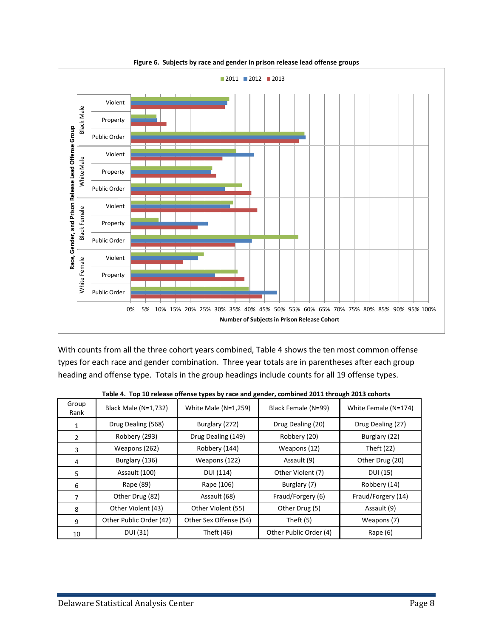<span id="page-14-1"></span>

**Figure 6. Subjects by race and gender in prison release lead offense groups**

With counts from all the three cohort years combined, Table 4 shows the ten most common offense types for each race and gender combination. Three year totals are in parentheses after each group heading and offense type. Totals in the group headings include counts for all 19 offense types.

<span id="page-14-0"></span>

| Group<br>Rank | Black Male (N=1,732)    | White Male $(N=1,259)$ | Black Female (N=99)    | White Female (N=174) |
|---------------|-------------------------|------------------------|------------------------|----------------------|
| 1             | Drug Dealing (568)      | Burglary (272)         | Drug Dealing (20)      | Drug Dealing (27)    |
| 2             | Robbery (293)           | Drug Dealing (149)     | Robbery (20)           | Burglary (22)        |
| 3             | Weapons (262)           | Robbery (144)          | Weapons (12)           | Theft (22)           |
| 4             | Burglary (136)          | Weapons (122)          | Assault (9)            | Other Drug (20)      |
| 5             | Assault (100)           | DUI (114)              | Other Violent (7)      | DUI (15)             |
| 6             | Rape (89)               | Rape (106)             | Burglary (7)           | Robbery (14)         |
| 7             | Other Drug (82)         | Assault (68)           | Fraud/Forgery (6)      | Fraud/Forgery (14)   |
| 8             | Other Violent (43)      | Other Violent (55)     | Other Drug (5)         | Assault (9)          |
| 9             | Other Public Order (42) | Other Sex Offense (54) | Theft $(5)$            | Weapons (7)          |
| 10            | DUI (31)                | Theft (46)             | Other Public Order (4) | Rape $(6)$           |

**Table 4. Top 10 release offense types by race and gender, combined 2011 through 2013 cohorts**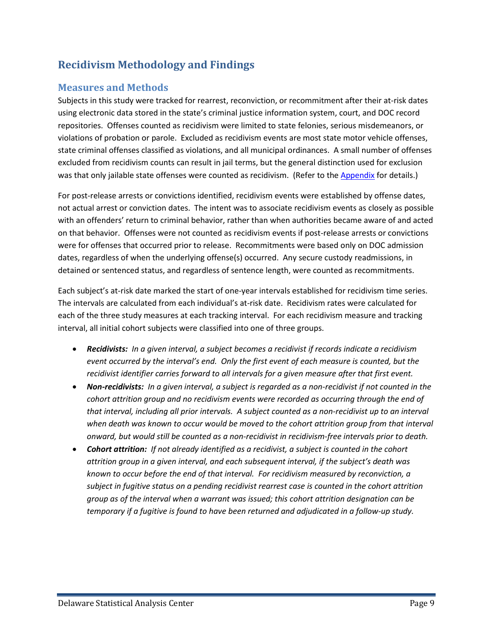## <span id="page-15-0"></span>**Recidivism Methodology and Findings**

### <span id="page-15-1"></span>**Measures and Methods**

Subjects in this study were tracked for rearrest, reconviction, or recommitment after their at-risk dates using electronic data stored in the state's criminal justice information system, court, and DOC record repositories. Offenses counted as recidivism were limited to state felonies, serious misdemeanors, or violations of probation or parole. Excluded as recidivism events are most state motor vehicle offenses, state criminal offenses classified as violations, and all municipal ordinances. A small number of offenses excluded from recidivism counts can result in jail terms, but the general distinction used for exclusion was that only jailable state offenses were counted as recidivism. (Refer to the Appendix for details.)

For post-release arrests or convictions identified, recidivism events were established by offense dates, not actual arrest or conviction dates. The intent was to associate recidivism events as closely as possible with an offenders' return to criminal behavior, rather than when authorities became aware of and acted on that behavior. Offenses were not counted as recidivism events if post-release arrests or convictions were for offenses that occurred prior to release. Recommitments were based only on DOC admission dates, regardless of when the underlying offense(s) occurred. Any secure custody readmissions, in detained or sentenced status, and regardless of sentence length, were counted as recommitments.

Each subject's at-risk date marked the start of one-year intervals established for recidivism time series. The intervals are calculated from each individual's at-risk date. Recidivism rates were calculated for each of the three study measures at each tracking interval. For each recidivism measure and tracking interval, all initial cohort subjects were classified into one of three groups.

- *Recidivists: In a given interval, a subject becomes a recidivist if records indicate a recidivism event occurred by the interval's end. Only the first event of each measure is counted, but the recidivist identifier carries forward to all intervals for a given measure after that first event.*
- *Non-recidivists: In a given interval, a subject is regarded as a non-recidivist if not counted in the cohort attrition group and no recidivism events were recorded as occurring through the end of that interval, including all prior intervals. A subject counted as a non-recidivist up to an interval when death was known to occur would be moved to the cohort attrition group from that interval onward, but would still be counted as a non-recidivist in recidivism-free intervals prior to death.*
- *Cohort attrition: If not already identified as a recidivist, a subject is counted in the cohort attrition group in a given interval, and each subsequent interval, if the subject's death was known to occur before the end of that interval. For recidivism measured by reconviction, a subject in fugitive status on a pending recidivist rearrest case is counted in the cohort attrition group as of the interval when a warrant was issued; this cohort attrition designation can be temporary if a fugitive is found to have been returned and adjudicated in a follow-up study.*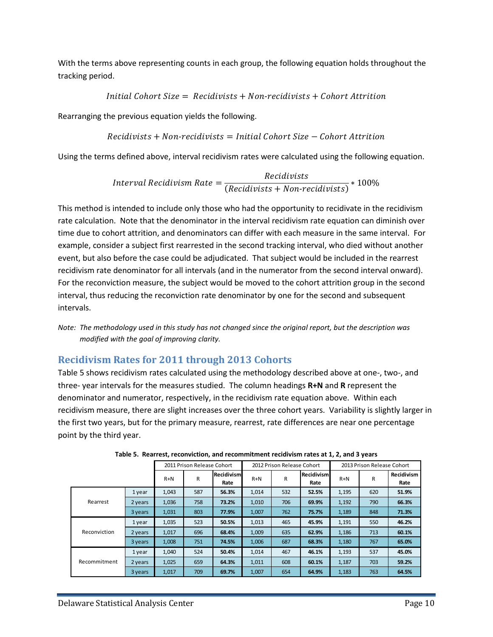With the terms above representing counts in each group, the following equation holds throughout the tracking period.

*Initial Cohort Size*  $=$  *Recidivists*  $+$  *Non-recidivists*  $+$  *Cohort Attrition* 

Rearranging the previous equation yields the following.

$$
Recidivists + Non-recidivists = Initial\ Cohort\ Size - \mathit{Cohort\ Artrition}
$$

Using the terms defined above, interval recidivism rates were calculated using the following equation.

*Interval Recidivism Rate* = 
$$
\frac{Recidivists}{(Recidivists + Non-recidivists)} * 100\%
$$

This method is intended to include only those who had the opportunity to recidivate in the recidivism rate calculation. Note that the denominator in the interval recidivism rate equation can diminish over time due to cohort attrition, and denominators can differ with each measure in the same interval. For example, consider a subject first rearrested in the second tracking interval, who died without another event, but also before the case could be adjudicated. That subject would be included in the rearrest recidivism rate denominator for all intervals (and in the numerator from the second interval onward). For the reconviction measure, the subject would be moved to the cohort attrition group in the second interval, thus reducing the reconviction rate denominator by one for the second and subsequent intervals.

*Note: The methodology used in this study has not changed since the original report, but the description was modified with the goal of improving clarity.*

## <span id="page-16-0"></span>**Recidivism Rates for 2011 through 2013 Cohorts**

Table 5 shows recidivism rates calculated using the methodology described above at one-, two-, and three- year intervals for the measures studied. The column headings **R+N** and **R** represent the denominator and numerator, respectively, in the recidivism rate equation above. Within each recidivism measure, there are slight increases over the three cohort years. Variability is slightly larger in the first two years, but for the primary measure, rearrest, rate differences are near one percentage point by the third year.

<span id="page-16-1"></span>

|              |         |       | 2011 Prison Release Cohort |                           |       | 2012 Prison Release Cohort |                    | 2013 Prison Release Cohort |     |                           |  |
|--------------|---------|-------|----------------------------|---------------------------|-------|----------------------------|--------------------|----------------------------|-----|---------------------------|--|
|              |         | $R+N$ | R                          | <b>Recidivism</b><br>Rate | $R+N$ | R                          | Recidivism<br>Rate | $R+N$                      | R   | <b>Recidivism</b><br>Rate |  |
|              | 1 year  | 1,043 | 587                        | 56.3%                     | 1,014 | 532                        | 52.5%              | 1,195                      | 620 | 51.9%                     |  |
| Rearrest     | 2 years | 1,036 | 758                        | 73.2%                     | 1,010 | 706                        | 69.9%              | 1,192                      | 790 | 66.3%                     |  |
|              | 3 years | 1,031 | 803                        | 77.9%                     | 1,007 | 762                        | 75.7%              | 1,189                      | 848 | 71.3%                     |  |
|              | 1 year  | 1,035 | 523                        | 50.5%                     | 1,013 | 465                        | 45.9%              | 1,191                      | 550 | 46.2%                     |  |
| Reconviction | 2 years | 1,017 | 696                        | 68.4%                     | 1,009 | 635                        | 62.9%              | 1,186                      | 713 | 60.1%                     |  |
|              | 3 years | 1,008 | 751                        | 74.5%                     | 1,006 | 687                        | 68.3%              | 1,180                      | 767 | 65.0%                     |  |
|              | 1 year  | 1,040 | 524                        | 50.4%                     | 1,014 | 467                        | 46.1%              | 1,193                      | 537 | 45.0%                     |  |
| Recommitment | 2 years | 1,025 | 659                        | 64.3%                     | 1,011 | 608                        | 60.1%              | 1,187                      | 703 | 59.2%                     |  |
|              | 3 years | 1,017 | 709                        | 69.7%                     | 1,007 | 654                        | 64.9%              | 1,183                      | 763 | 64.5%                     |  |

**Table 5. Rearrest, reconviction, and recommitment recidivism rates at 1, 2, and 3 years**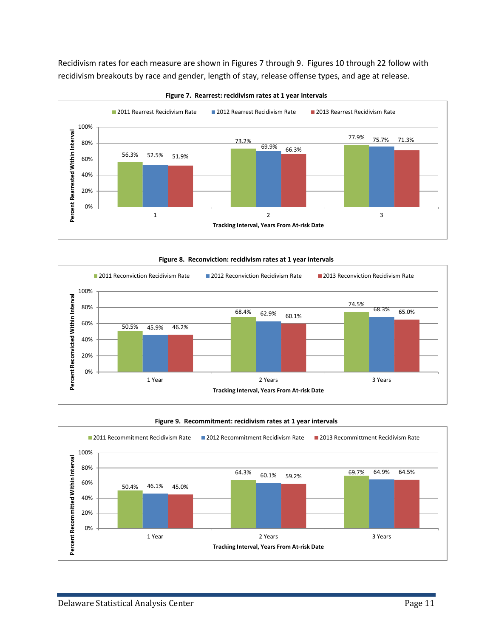Recidivism rates for each measure are shown in Figures 7 through 9. Figures 10 through 22 follow with recidivism breakouts by race and gender, length of stay, release offense types, and age at release.

<span id="page-17-0"></span>

**Figure 7. Rearrest: recidivism rates at 1 year intervals**

**Figure 8. Reconviction: recidivism rates at 1 year intervals**

<span id="page-17-1"></span>

#### **Figure 9. Recommitment: recidivism rates at 1 year intervals**

<span id="page-17-2"></span>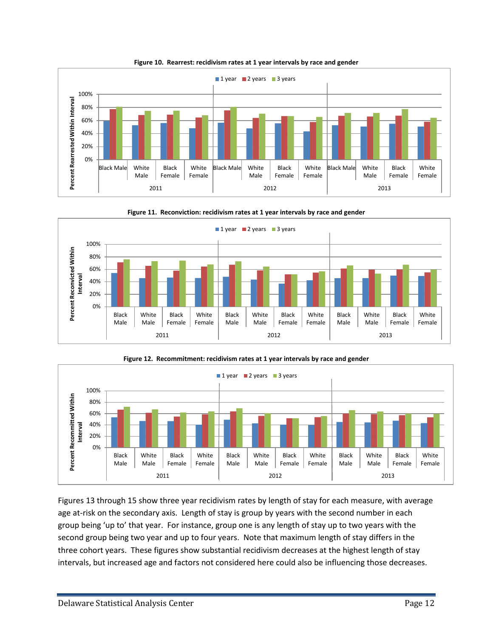<span id="page-18-0"></span>

**Figure 10. Rearrest: recidivism rates at 1 year intervals by race and gender**

<span id="page-18-1"></span>



<span id="page-18-2"></span>

Figures 13 through 15 show three year recidivism rates by length of stay for each measure, with average age at-risk on the secondary axis. Length of stay is group by years with the second number in each group being 'up to' that year. For instance, group one is any length of stay up to two years with the second group being two year and up to four years. Note that maximum length of stay differs in the three cohort years. These figures show substantial recidivism decreases at the highest length of stay intervals, but increased age and factors not considered here could also be influencing those decreases.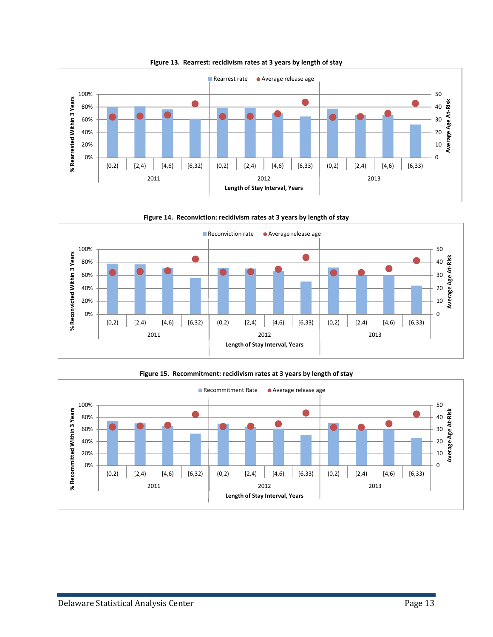<span id="page-19-0"></span>

**Figure 13. Rearrest: recidivism rates at 3 years by length of stay**

<span id="page-19-1"></span>

**Figure 15. Recommitment: recidivism rates at 3 years by length of stay**

<span id="page-19-2"></span>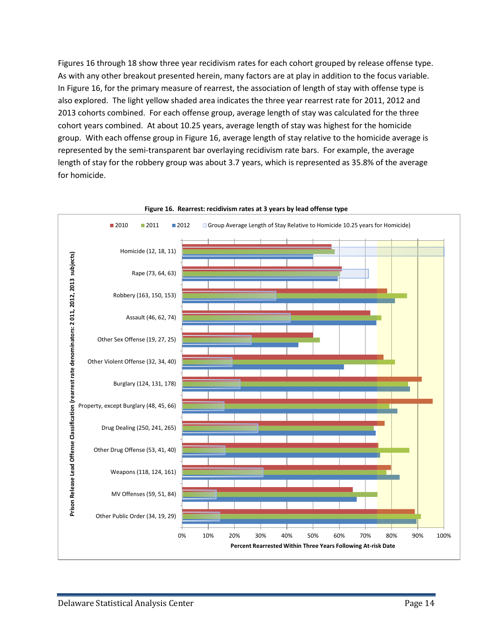Figures 16 through 18 show three year recidivism rates for each cohort grouped by release offense type. As with any other breakout presented herein, many factors are at play in addition to the focus variable. In Figure 16, for the primary measure of rearrest, the association of length of stay with offense type is also explored. The light yellow shaded area indicates the three year rearrest rate for 2011, 2012 and 2013 cohorts combined. For each offense group, average length of stay was calculated for the three cohort years combined. At about 10.25 years, average length of stay was highest for the homicide group. With each offense group in Figure 16, average length of stay relative to the homicide average is represented by the semi-transparent bar overlaying recidivism rate bars. For example, the average length of stay for the robbery group was about 3.7 years, which is represented as 35.8% of the average for homicide.

<span id="page-20-0"></span>

#### **Figure 16. Rearrest: recidivism rates at 3 years by lead offense type**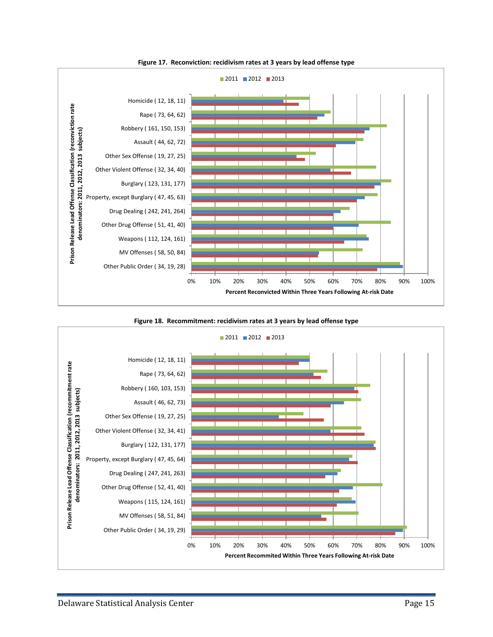<span id="page-21-0"></span>

**Figure 17. Reconviction: recidivism rates at 3 years by lead offense type**



<span id="page-21-1"></span>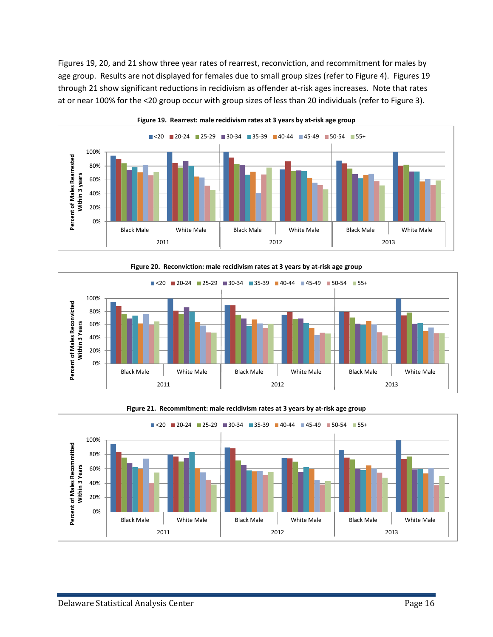Figures 19, 20, and 21 show three year rates of rearrest, reconviction, and recommitment for males by age group. Results are not displayed for females due to small group sizes (refer to Figure 4). Figures 19 through 21 show significant reductions in recidivism as offender at-risk ages increases. Note that rates at or near 100% for the <20 group occur with group sizes of less than 20 individuals (refer to Figure 3).

<span id="page-22-0"></span>

**Figure 20. Reconviction: male recidivism rates at 3 years by at-risk age group**

<span id="page-22-1"></span>

<span id="page-22-2"></span>

**Figure 21. Recommitment: male recidivism rates at 3 years by at-risk age group**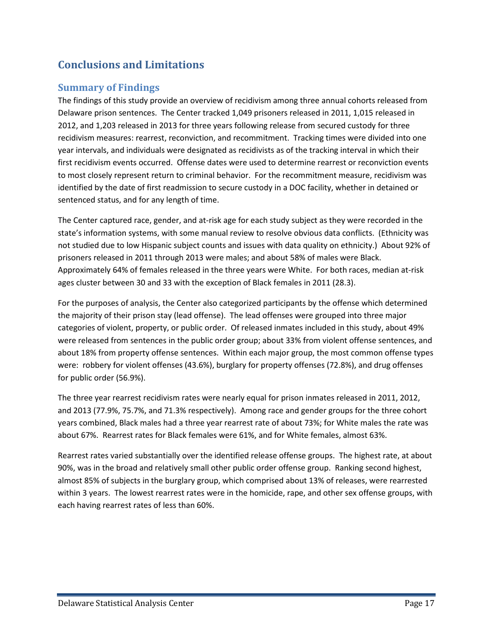## <span id="page-23-0"></span>**Conclusions and Limitations**

### <span id="page-23-1"></span>**Summary of Findings**

The findings of this study provide an overview of recidivism among three annual cohorts released from Delaware prison sentences. The Center tracked 1,049 prisoners released in 2011, 1,015 released in 2012, and 1,203 released in 2013 for three years following release from secured custody for three recidivism measures: rearrest, reconviction, and recommitment. Tracking times were divided into one year intervals, and individuals were designated as recidivists as of the tracking interval in which their first recidivism events occurred. Offense dates were used to determine rearrest or reconviction events to most closely represent return to criminal behavior. For the recommitment measure, recidivism was identified by the date of first readmission to secure custody in a DOC facility, whether in detained or sentenced status, and for any length of time.

The Center captured race, gender, and at-risk age for each study subject as they were recorded in the state's information systems, with some manual review to resolve obvious data conflicts. (Ethnicity was not studied due to low Hispanic subject counts and issues with data quality on ethnicity.) About 92% of prisoners released in 2011 through 2013 were males; and about 58% of males were Black. Approximately 64% of females released in the three years were White. For both races, median at-risk ages cluster between 30 and 33 with the exception of Black females in 2011 (28.3).

For the purposes of analysis, the Center also categorized participants by the offense which determined the majority of their prison stay (lead offense). The lead offenses were grouped into three major categories of violent, property, or public order. Of released inmates included in this study, about 49% were released from sentences in the public order group; about 33% from violent offense sentences, and about 18% from property offense sentences. Within each major group, the most common offense types were: robbery for violent offenses (43.6%), burglary for property offenses (72.8%), and drug offenses for public order (56.9%).

The three year rearrest recidivism rates were nearly equal for prison inmates released in 2011, 2012, and 2013 (77.9%, 75.7%, and 71.3% respectively). Among race and gender groups for the three cohort years combined, Black males had a three year rearrest rate of about 73%; for White males the rate was about 67%. Rearrest rates for Black females were 61%, and for White females, almost 63%.

Rearrest rates varied substantially over the identified release offense groups. The highest rate, at about 90%, was in the broad and relatively small other public order offense group. Ranking second highest, almost 85% of subjects in the burglary group, which comprised about 13% of releases, were rearrested within 3 years. The lowest rearrest rates were in the homicide, rape, and other sex offense groups, with each having rearrest rates of less than 60%.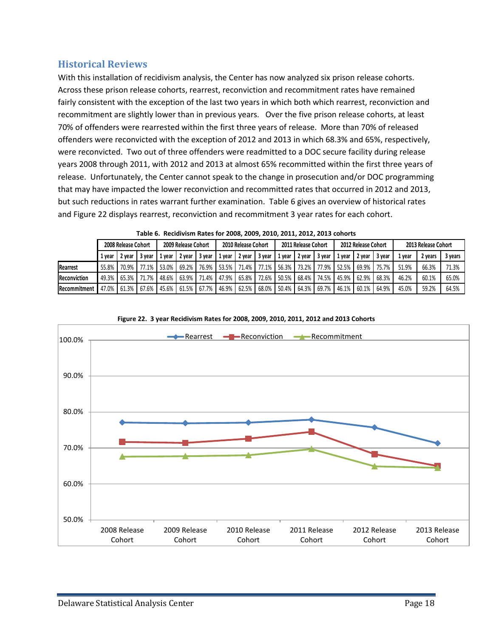#### <span id="page-24-0"></span>**Historical Reviews**

With this installation of recidivism analysis, the Center has now analyzed six prison release cohorts. Across these prison release cohorts, rearrest, reconviction and recommitment rates have remained fairly consistent with the exception of the last two years in which both which rearrest, reconviction and recommitment are slightly lower than in previous years. Over the five prison release cohorts, at least 70% of offenders were rearrested within the first three years of release. More than 70% of released offenders were reconvicted with the exception of 2012 and 2013 in which 68.3% and 65%, respectively, were reconvicted. Two out of three offenders were readmitted to a DOC secure facility during release years 2008 through 2011, with 2012 and 2013 at almost 65% recommitted within the first three years of release. Unfortunately, the Center cannot speak to the change in prosecution and/or DOC programming that may have impacted the lower reconviction and recommitted rates that occurred in 2012 and 2013, but such reductions in rates warrant further examination. Table 6 gives an overview of historical rates and Figure 22 displays rearrest, reconviction and recommitment 3 year rates for each cohort.

<span id="page-24-1"></span>

|                     | 2008 Release Cohort |                   |        | 2009 Release Cohort |        |                   | 2010 Release Cohort |        |        | 2011 Release Cohort |               |       | 2012 Release Cohort  |        |        | 2013 Release Cohort |         |         |
|---------------------|---------------------|-------------------|--------|---------------------|--------|-------------------|---------------------|--------|--------|---------------------|---------------|-------|----------------------|--------|--------|---------------------|---------|---------|
|                     | 1 vear              | 2 vear            | 3 vear | . vear              | 2 vear | 3 vear            | 1 vear              | 2 year | 3 year | 1 vear              | 2 year 3 year |       | . vear               | 2 vear | 3 vear | 1 vear              | 2 years | 3 years |
| <b>Rearrest</b>     |                     | 55.8% 70.9% 77.1% |        | 53.0%               | 69.2%  | 76.9%             | 53.5%               | 71.4%  |        | 77.1% 56.3%         | 73.2%         | 77.9% | $\blacksquare$ 52.5% | 69.9%  | 75.7%  | 51.9%               | 66.3%   | 71.3%   |
| <b>Reconviction</b> |                     | 49.3% 65.3% 71.7% |        | 48.6%               | 63.9%  | 71.4%             | 47.9%               | 65.8%  |        | 72.6% 50.5%         | 68.4%         | 74.5% | 45.9%                | 62.9%  | 68.3%  | 46.2%               | 60.1%   | 65.0%   |
| Recommitment        |                     | 47.0% 61.3% 67.6% |        |                     |        | 45.6% 61.5% 67.7% | 46.9%               | 62.5%  |        | 68.0% 50.4%         | 64.3% 69.7%   |       | 46.1%                | 60.1%  | 64.9%  | 45.0%               | 59.2%   | 64.5%   |

|  |  |  |  |  |  |  |  | Table 6. Recidivism Rates for 2008, 2009, 2010, 2011, 2012, 2013 cohorts |
|--|--|--|--|--|--|--|--|--------------------------------------------------------------------------|
|--|--|--|--|--|--|--|--|--------------------------------------------------------------------------|

<span id="page-24-2"></span>

**Figure 22. 3 year Recidivism Rates for 2008, 2009, 2010, 2011, 2012 and 2013 Cohorts**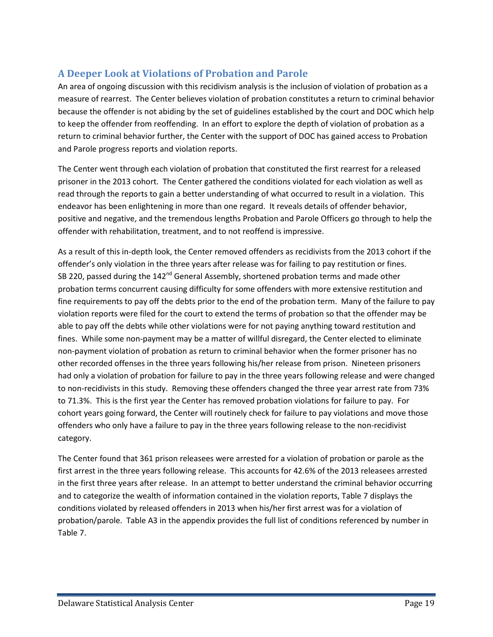## <span id="page-25-0"></span>**A Deeper Look at Violations of Probation and Parole**

An area of ongoing discussion with this recidivism analysis is the inclusion of violation of probation as a measure of rearrest. The Center believes violation of probation constitutes a return to criminal behavior because the offender is not abiding by the set of guidelines established by the court and DOC which help to keep the offender from reoffending. In an effort to explore the depth of violation of probation as a return to criminal behavior further, the Center with the support of DOC has gained access to Probation and Parole progress reports and violation reports.

The Center went through each violation of probation that constituted the first rearrest for a released prisoner in the 2013 cohort. The Center gathered the conditions violated for each violation as well as read through the reports to gain a better understanding of what occurred to result in a violation. This endeavor has been enlightening in more than one regard. It reveals details of offender behavior, positive and negative, and the tremendous lengths Probation and Parole Officers go through to help the offender with rehabilitation, treatment, and to not reoffend is impressive.

As a result of this in-depth look, the Center removed offenders as recidivists from the 2013 cohort if the offender's only violation in the three years after release was for failing to pay restitution or fines. SB 220, passed during the 142<sup>nd</sup> General Assembly, shortened probation terms and made other probation terms concurrent causing difficulty for some offenders with more extensive restitution and fine requirements to pay off the debts prior to the end of the probation term. Many of the failure to pay violation reports were filed for the court to extend the terms of probation so that the offender may be able to pay off the debts while other violations were for not paying anything toward restitution and fines. While some non-payment may be a matter of willful disregard, the Center elected to eliminate non-payment violation of probation as return to criminal behavior when the former prisoner has no other recorded offenses in the three years following his/her release from prison. Nineteen prisoners had only a violation of probation for failure to pay in the three years following release and were changed to non-recidivists in this study. Removing these offenders changed the three year arrest rate from 73% to 71.3%. This is the first year the Center has removed probation violations for failure to pay. For cohort years going forward, the Center will routinely check for failure to pay violations and move those offenders who only have a failure to pay in the three years following release to the non-recidivist category.

The Center found that 361 prison releasees were arrested for a violation of probation or parole as the first arrest in the three years following release. This accounts for 42.6% of the 2013 releasees arrested in the first three years after release. In an attempt to better understand the criminal behavior occurring and to categorize the wealth of information contained in the violation reports, Table 7 displays the conditions violated by released offenders in 2013 when his/her first arrest was for a violation of probation/parole. Table A3 in the appendix provides the full list of conditions referenced by number in Table 7.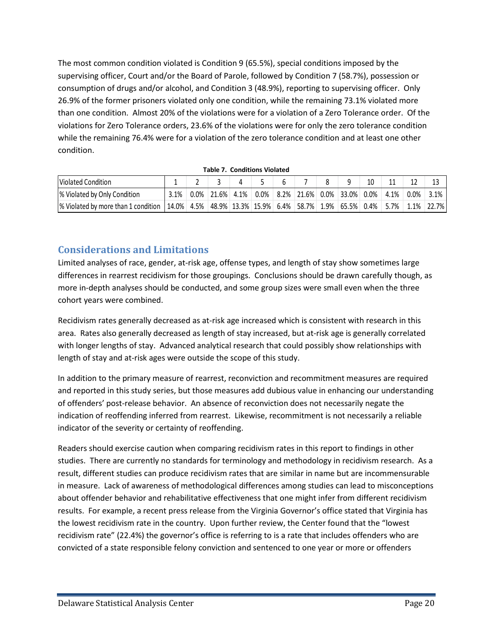The most common condition violated is Condition 9 (65.5%), special conditions imposed by the supervising officer, Court and/or the Board of Parole, followed by Condition 7 (58.7%), possession or consumption of drugs and/or alcohol, and Condition 3 (48.9%), reporting to supervising officer. Only 26.9% of the former prisoners violated only one condition, while the remaining 73.1% violated more than one condition. Almost 20% of the violations were for a violation of a Zero Tolerance order. Of the violations for Zero Tolerance orders, 23.6% of the violations were for only the zero tolerance condition while the remaining 76.4% were for a violation of the zero tolerance condition and at least one other condition.

<span id="page-26-1"></span>

| Violated Condition                                                                                              |     |                 |         |         |                               |  | 10   |         |         |       |
|-----------------------------------------------------------------------------------------------------------------|-----|-----------------|---------|---------|-------------------------------|--|------|---------|---------|-------|
| % Violated by Only Condition                                                                                    | .1% | $0.0\%$   21.6% | $4.1\%$ | $0.0\%$ | $ 8.2\% 21.6\% 0.0\% 33.0\% $ |  | 0.0% | $4.1\%$ | $0.0\%$ | 3.1%  |
| % Violated by more than 1 condition   14.0%   4.5%   48.9%   13.3%   15.9%   6.4%   58.7%   1.9%   65.5%   0.4% |     |                 |         |         |                               |  |      | $5.7\%$ | $1.1\%$ | 22.7% |

**Table 7. Conditions Violated** 

#### <span id="page-26-0"></span>**Considerations and Limitations**

Limited analyses of race, gender, at-risk age, offense types, and length of stay show sometimes large differences in rearrest recidivism for those groupings. Conclusions should be drawn carefully though, as more in-depth analyses should be conducted, and some group sizes were small even when the three cohort years were combined.

Recidivism rates generally decreased as at-risk age increased which is consistent with research in this area. Rates also generally decreased as length of stay increased, but at-risk age is generally correlated with longer lengths of stay. Advanced analytical research that could possibly show relationships with length of stay and at-risk ages were outside the scope of this study.

In addition to the primary measure of rearrest, reconviction and recommitment measures are required and reported in this study series, but those measures add dubious value in enhancing our understanding of offenders' post-release behavior. An absence of reconviction does not necessarily negate the indication of reoffending inferred from rearrest. Likewise, recommitment is not necessarily a reliable indicator of the severity or certainty of reoffending.

Readers should exercise caution when comparing recidivism rates in this report to findings in other studies. There are currently no standards for terminology and methodology in recidivism research. As a result, different studies can produce recidivism rates that are similar in name but are incommensurable in measure. Lack of awareness of methodological differences among studies can lead to misconceptions about offender behavior and rehabilitative effectiveness that one might infer from different recidivism results. For example, a recent press release from the Virginia Governor's office stated that Virginia has the lowest recidivism rate in the country. Upon further review, the Center found that the "lowest recidivism rate" (22.4%) the governor's office is referring to is a rate that includes offenders who are convicted of a state responsible felony conviction and sentenced to one year or more or offenders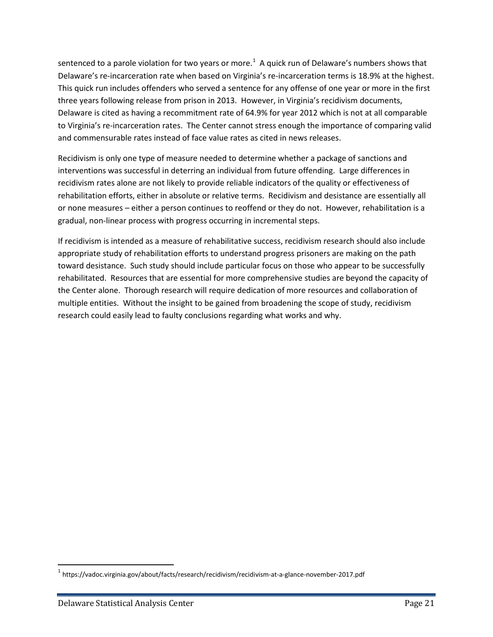sentenced to a parole violation for two years or more.<sup>[1](#page-27-0)</sup> A quick run of Delaware's numbers shows that Delaware's re-incarceration rate when based on Virginia's re-incarceration terms is 18.9% at the highest. This quick run includes offenders who served a sentence for any offense of one year or more in the first three years following release from prison in 2013. However, in Virginia's recidivism documents, Delaware is cited as having a recommitment rate of 64.9% for year 2012 which is not at all comparable to Virginia's re-incarceration rates. The Center cannot stress enough the importance of comparing valid and commensurable rates instead of face value rates as cited in news releases.

Recidivism is only one type of measure needed to determine whether a package of sanctions and interventions was successful in deterring an individual from future offending. Large differences in recidivism rates alone are not likely to provide reliable indicators of the quality or effectiveness of rehabilitation efforts, either in absolute or relative terms. Recidivism and desistance are essentially all or none measures – either a person continues to reoffend or they do not. However, rehabilitation is a gradual, non-linear process with progress occurring in incremental steps.

If recidivism is intended as a measure of rehabilitative success, recidivism research should also include appropriate study of rehabilitation efforts to understand progress prisoners are making on the path toward desistance. Such study should include particular focus on those who appear to be successfully rehabilitated. Resources that are essential for more comprehensive studies are beyond the capacity of the Center alone. Thorough research will require dedication of more resources and collaboration of multiple entities. Without the insight to be gained from broadening the scope of study, recidivism research could easily lead to faulty conclusions regarding what works and why.

<span id="page-27-0"></span> <sup>1</sup> https://vadoc.virginia.gov/about/facts/research/recidivism/recidivism-at-a-glance-november-2017.pdf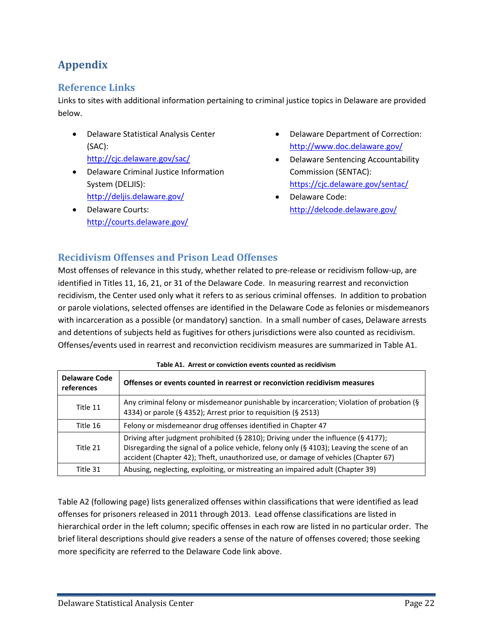## <span id="page-28-0"></span>**Appendix**

## <span id="page-28-1"></span>**Reference Links**

Links to sites with additional information pertaining to criminal justice topics in Delaware are provided below.

- Delaware Statistical Analysis Center (SAC): <http://cjc.delaware.gov/sac/>
- Delaware Criminal Justice Information System (DELJIS): <http://deljis.delaware.gov/>
- Delaware Courts: <http://courts.delaware.gov/>
- Delaware Department of Correction: <http://www.doc.delaware.gov/>
- Delaware Sentencing Accountability Commission (SENTAC): <https://cjc.delaware.gov/sentac/>
- Delaware Code: <http://delcode.delaware.gov/>

### <span id="page-28-2"></span>**Recidivism Offenses and Prison Lead Offenses**

Most offenses of relevance in this study, whether related to pre-release or recidivism follow-up, are identified in Titles 11, 16, 21, or 31 of the Delaware Code. In measuring rearrest and reconviction recidivism, the Center used only what it refers to as serious criminal offenses. In addition to probation or parole violations, selected offenses are identified in the Delaware Code as felonies or misdemeanors with incarceration as a possible (or mandatory) sanction. In a small number of cases, Delaware arrests and detentions of subjects held as fugitives for others jurisdictions were also counted as recidivism. Offenses/events used in rearrest and reconviction recidivism measures are summarized in Table A1.

<span id="page-28-3"></span>

| <b>Delaware Code</b><br>references | Offenses or events counted in rearrest or reconviction recidivism measures                                                                                                                                                                                            |
|------------------------------------|-----------------------------------------------------------------------------------------------------------------------------------------------------------------------------------------------------------------------------------------------------------------------|
| Title 11                           | Any criminal felony or misdemeanor punishable by incarceration; Violation of probation (§<br>4334) or parole (§ 4352); Arrest prior to requisition (§ 2513)                                                                                                           |
| Title 16                           | Felony or misdemeanor drug offenses identified in Chapter 47                                                                                                                                                                                                          |
| Title 21                           | Driving after judgment prohibited (§ 2810); Driving under the influence (§ 4177);<br>Disregarding the signal of a police vehicle, felony only (§ 4103); Leaving the scene of an<br>accident (Chapter 42); Theft, unauthorized use, or damage of vehicles (Chapter 67) |
| Title 31                           | Abusing, neglecting, exploiting, or mistreating an impaired adult (Chapter 39)                                                                                                                                                                                        |

#### **Table A1. Arrest or conviction events counted as recidivism**

Table A2 (following page) lists generalized offenses within classifications that were identified as lead offenses for prisoners released in 2011 through 2013. Lead offense classifications are listed in hierarchical order in the left column; specific offenses in each row are listed in no particular order. The brief literal descriptions should give readers a sense of the nature of offenses covered; those seeking more specificity are referred to the Delaware Code link above.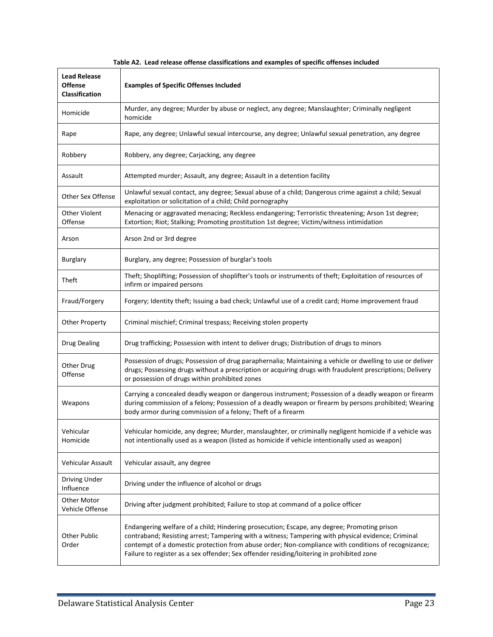<span id="page-29-0"></span>

| <b>Lead Release</b><br><b>Offense</b><br><b>Classification</b> | <b>Examples of Specific Offenses Included</b>                                                                                                                                                                                                                                                                                                                                                         |
|----------------------------------------------------------------|-------------------------------------------------------------------------------------------------------------------------------------------------------------------------------------------------------------------------------------------------------------------------------------------------------------------------------------------------------------------------------------------------------|
| Homicide                                                       | Murder, any degree; Murder by abuse or neglect, any degree; Manslaughter; Criminally negligent<br>homicide                                                                                                                                                                                                                                                                                            |
| Rape                                                           | Rape, any degree; Unlawful sexual intercourse, any degree; Unlawful sexual penetration, any degree                                                                                                                                                                                                                                                                                                    |
| Robbery                                                        | Robbery, any degree; Carjacking, any degree                                                                                                                                                                                                                                                                                                                                                           |
| Assault                                                        | Attempted murder; Assault, any degree; Assault in a detention facility                                                                                                                                                                                                                                                                                                                                |
| Other Sex Offense                                              | Unlawful sexual contact, any degree; Sexual abuse of a child; Dangerous crime against a child; Sexual<br>exploitation or solicitation of a child; Child pornography                                                                                                                                                                                                                                   |
| <b>Other Violent</b><br>Offense                                | Menacing or aggravated menacing; Reckless endangering; Terroristic threatening; Arson 1st degree;<br>Extortion; Riot; Stalking; Promoting prostitution 1st degree; Victim/witness intimidation                                                                                                                                                                                                        |
| Arson                                                          | Arson 2nd or 3rd degree                                                                                                                                                                                                                                                                                                                                                                               |
| <b>Burglary</b>                                                | Burglary, any degree; Possession of burglar's tools                                                                                                                                                                                                                                                                                                                                                   |
| Theft                                                          | Theft; Shoplifting; Possession of shoplifter's tools or instruments of theft; Exploitation of resources of<br>infirm or impaired persons                                                                                                                                                                                                                                                              |
| Fraud/Forgery                                                  | Forgery; Identity theft; Issuing a bad check; Unlawful use of a credit card; Home improvement fraud                                                                                                                                                                                                                                                                                                   |
| <b>Other Property</b>                                          | Criminal mischief; Criminal trespass; Receiving stolen property                                                                                                                                                                                                                                                                                                                                       |
| <b>Drug Dealing</b>                                            | Drug trafficking; Possession with intent to deliver drugs; Distribution of drugs to minors                                                                                                                                                                                                                                                                                                            |
| <b>Other Drug</b><br>Offense                                   | Possession of drugs; Possession of drug paraphernalia; Maintaining a vehicle or dwelling to use or deliver<br>drugs; Possessing drugs without a prescription or acquiring drugs with fraudulent prescriptions; Delivery<br>or possession of drugs within prohibited zones                                                                                                                             |
| Weapons                                                        | Carrying a concealed deadly weapon or dangerous instrument; Possession of a deadly weapon or firearm<br>during commission of a felony; Possession of a deadly weapon or firearm by persons prohibited; Wearing<br>body armor during commission of a felony; Theft of a firearm                                                                                                                        |
| Vehicular<br>Homicide                                          | Vehicular homicide, any degree; Murder, manslaughter, or criminally negligent homicide if a vehicle was<br>not intentionally used as a weapon (listed as homicide if vehicle intentionally used as weapon)                                                                                                                                                                                            |
| Vehicular Assault                                              | Vehicular assault, any degree                                                                                                                                                                                                                                                                                                                                                                         |
| Driving Under<br>Influence                                     | Driving under the influence of alcohol or drugs                                                                                                                                                                                                                                                                                                                                                       |
| Other Motor<br><b>Vehicle Offense</b>                          | Driving after judgment prohibited; Failure to stop at command of a police officer                                                                                                                                                                                                                                                                                                                     |
| Other Public<br>Order                                          | Endangering welfare of a child; Hindering prosecution; Escape, any degree; Promoting prison<br>contraband; Resisting arrest; Tampering with a witness; Tampering with physical evidence; Criminal<br>contempt of a domestic protection from abuse order; Non-compliance with conditions of recognizance;<br>Failure to register as a sex offender; Sex offender residing/loitering in prohibited zone |

#### **Table A2. Lead release offense classifications and examples of specific offenses included**